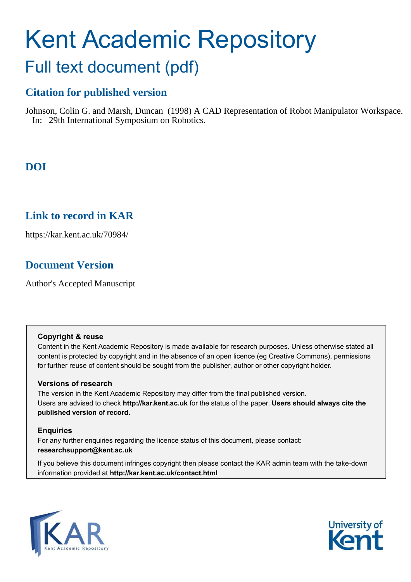# Kent Academic Repository

# Full text document (pdf)

# **Citation for published version**

Johnson, Colin G. and Marsh, Duncan (1998) A CAD Representation of Robot Manipulator Workspace. In: 29th International Symposium on Robotics.

# **DOI**

### **Link to record in KAR**

https://kar.kent.ac.uk/70984/

## **Document Version**

Author's Accepted Manuscript

#### **Copyright & reuse**

Content in the Kent Academic Repository is made available for research purposes. Unless otherwise stated all content is protected by copyright and in the absence of an open licence (eg Creative Commons), permissions for further reuse of content should be sought from the publisher, author or other copyright holder.

#### **Versions of research**

The version in the Kent Academic Repository may differ from the final published version. Users are advised to check **http://kar.kent.ac.uk** for the status of the paper. **Users should always cite the published version of record.**

#### **Enquiries**

For any further enquiries regarding the licence status of this document, please contact: **researchsupport@kent.ac.uk**

If you believe this document infringes copyright then please contact the KAR admin team with the take-down information provided at **http://kar.kent.ac.uk/contact.html**



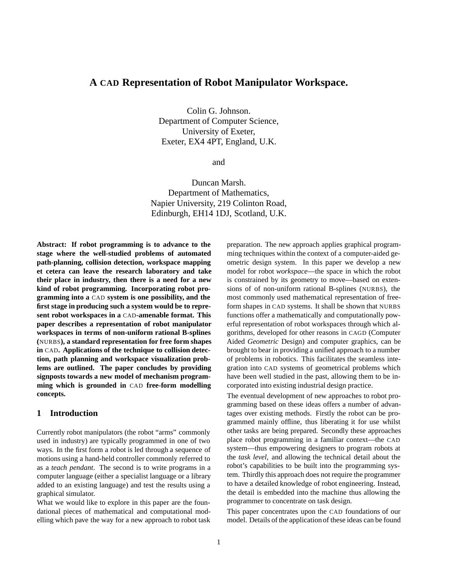#### **A CAD Representation of Robot Manipulator Workspace.**

Colin G. Johnson. Department of Computer Science, University of Exeter, Exeter, EX4 4PT, England, U.K.

and

Duncan Marsh. Department of Mathematics, Napier University, 219 Colinton Road, Edinburgh, EH14 1DJ, Scotland, U.K.

**Abstract: If robot programming is to advance to the stage where the well-studied problems of automated path-planning, collision detection, workspace mapping et cetera can leave the research laboratory and take their place in industry, then there is a need for a new kind of robot programming. Incorporating robot programming into a** CAD **system is one possibility, and the first stage in producing such a system would be to represent robot workspaces in a** CAD**-amenable format. This paper describes a representation of robot manipulator workspaces in terms of non-uniform rational B-splines (**NURBS**), a standard representation for free form shapes in** CAD**. Applications of the technique to collision detection, path planning and workspace visualization problems are outlined. The paper concludes by providing signposts towards a new model of mechanism programming which is grounded in** CAD **free-form modelling concepts.**

#### **1 Introduction**

Currently robot manipulators (the robot "arms" commonly used in industry) are typically programmed in one of two ways. In the first form a robot is led through a sequence of motions using a hand-held controller commonly referred to as a *teach pendant*. The second is to write programs in a computer language (either a specialist language or a library added to an existing language) and test the results using a graphical simulator.

What we would like to explore in this paper are the foundational pieces of mathematical and computational modelling which pave the way for a new approach to robot task preparation. The new approach applies graphical programming techniques within the context of a computer-aided geometric design system. In this paper we develop a new model for robot *workspace*—the space in which the robot is constrained by its geometry to move—based on extensions of of non-uniform rational B-splines (NURBS), the most commonly used mathematical representation of freeform shapes in CAD systems. It shall be shown that NURBS functions offer a mathematically and computationally powerful representation of robot workspaces through which algorithms, developed for other reasons in CAGD (Computer Aided *Geometric* Design) and computer graphics, can be brought to bear in providing a unified approach to a number of problems in robotics. This facilitates the seamless integration into CAD systems of geometrical problems which have been well studied in the past, allowing them to be incorporated into existing industrial design practice.

The eventual development of new approaches to robot programming based on these ideas offers a number of advantages over existing methods. Firstly the robot can be programmed mainly offline, thus liberating it for use whilst other tasks are being prepared. Secondly these approaches place robot programming in a familiar context—the CAD system—thus empowering designers to program robots at the *task level*, and allowing the technical detail about the robot's capabilities to be built into the programming system. Thirdly this approach does not require the programmer to have a detailed knowledge of robot engineering. Instead, the detail is embedded into the machine thus allowing the programmer to concentrate on task design.

This paper concentrates upon the CAD foundations of our model. Details of the application of these ideas can be found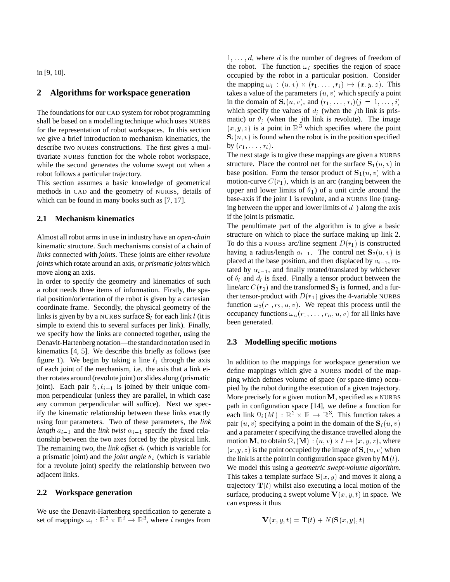in [9, 10].

#### **2 Algorithms for workspace generation**

The foundations for our CAD system for robot programming shall be based on a modelling technique which uses NURBS for the representation of robot workspaces. In this section we give a brief introduction to mechanism kinematics, the describe two NURBS constructions. The first gives a multivariate NURBS function for the whole robot workspace, while the second generates the volume swept out when a robot follows a particular trajectory.

This section assumes a basic knowledge of geometrical methods in CAD and the geometry of NURBS, details of which can be found in many books such as [7, 17].

#### **2.1 Mechanism kinematics**

Almost all robot arms in use in industry have an *open-chain* kinematic structure. Such mechanisms consist of a chain of *links* connected with *joints*. These joints are either *revolute joints* which rotate around an axis, or *prismatic joints* which move along an axis.

In order to specify the geometry and kinematics of such a robot needs three items of information. Firstly, the spatial position/orientation of the robot is given by a cartesian coordinate frame. Secondly, the physical geometry of the links is given by by a NURBS surface  $S_i$  for each link l (it is simple to extend this to several surfaces per link). Finally, we specify how the links are connected together, using the Denavit-Hartenberg notation—the standard notation used in kinematics [4, 5]. We describe this briefly as follows (see figure 1). We begin by taking a line  $\ell_i$  through the axis of each joint of the mechanism, i.e. the axis that a link either rotates around (revolute joint) or slides along (prismatic joint). Each pair  $\ell_i$ ,  $\ell_{i+1}$  is joined by their unique common perpendicular (unless they are parallel, in which case any common perpendicular will suffice). Next we specify the kinematic relationship between these links exactly using four parameters. Two of these parameters, the *link length*  $a_{i-1}$  and the *link twist*  $\alpha_{i-1}$  specify the fixed relationship between the two axes forced by the physical link. The remaining two, the *link offset*  $d_i$  (which is variable for a prismatic joint) and the *joint angle*  $\theta_i$  (which is variable for a revolute joint) specify the relationship between two adjacent links.

#### **2.2 Workspace generation**

We use the Denavit-Hartenberg specification to generate a set of mappings  $\omega_i : \mathbb{R}^2 \times \mathbb{R}^i \to \mathbb{R}^3$ , where i ranges from

 $1, \ldots, d$ , where d is the number of degrees of freedom of the robot. The function  $\omega_i$  specifies the region of space occupied by the robot in a particular position. Consider the mapping  $\omega_i$ :  $(u, v) \times (r_1, \ldots, r_i) \mapsto (x, y, z)$ . This takes a value of the parameters  $(u, v)$  which specify a point in the domain of  $S_i(u, v)$ , and  $(r_1, \ldots, r_i)$   $(j = 1, \ldots, i)$ which specify the values of  $d_j$  (when the jth link is prismatic) or  $\theta_i$  (when the jth link is revolute). The image  $(x, y, z)$  is a point in  $\mathbb{R}^3$  which specifies where the point  $S_i(u, v)$  is found when the robot is in the position specified by  $(r_1, \ldots, r_i)$ .

The next stage is to give these mappings are given a NURBS structure. Place the control net for the surface  $S_1(u, v)$  in base position. Form the tensor product of  $S_1(u, v)$  with a motion-curve  $C(r_1)$ , which is an arc (ranging between the upper and lower limits of  $\theta_1$ ) of a unit circle around the base-axis if the joint 1 is revolute, and a NURBS line (ranging between the upper and lower limits of  $d_1$ ) along the axis if the joint is prismatic.

The penultimate part of the algorithm is to give a basic structure on which to place the surface making up link 2. To do this a NURBS arc/line segment  $D(r_1)$  is constructed having a radius/length  $a_{i-1}$ . The control net  $S_2(u, v)$  is placed at the base position, and then displaced by  $a_{i-1}$ , rotated by  $\alpha_{i-1}$ , and finally rotated/translated by whichever of  $\theta_i$  and  $d_i$  is fixed. Finally a tensor product between the line/arc  $C(r_2)$  and the transformed  $S_2$  is formed, and a further tensor-product with  $D(r_1)$  gives the 4-variable NURBS function  $\omega_2(r_1, r_2, u, v)$ . We repeat this process until the occupancy functions  $\omega_n(r_1, \ldots, r_n, u, v)$  for all links have been generated.

#### **2.3 Modelling specific motions**

In addition to the mappings for workspace generation we define mappings which give a NURBS model of the mapping which defines volume of space (or space-time) occupied by the robot during the execution of a given trajectory. More precisely for a given motion <sup>M</sup>, specified as a NURBS path in configuration space [14], we define a function for each link  $\Omega_i(M) : \mathbb{R}^2 \times \mathbb{R} \to \mathbb{R}^3$ . This function takes a pair  $(u, v)$  specifying a point in the domain of the S<sub>i</sub> $(u, v)$ and a parameter  $t$  specifying the distance travelled along the motion M, to obtain  $\Omega_i(\mathbf{M}) : (u, v) \times t \mapsto (x, y, z)$ , where  $(x, y, z)$  is the point occupied by the image of  $S_i(u, v)$  when the link is at the point in configuration space given by  $\mathbf{M}(t)$ . We model this using a *geometric swept-volume algorithm*. This takes a template surface  $S(x, y)$  and moves it along a trajectory  $\mathbf{T}(t)$  whilst also executing a local motion of the surface, producing a swept volume  $V(x, y, t)$  in space. We can express it thus

$$
\mathbf{V}(x, y, t) = \mathbf{T}(t) + N(\mathbf{S}(x, y), t)
$$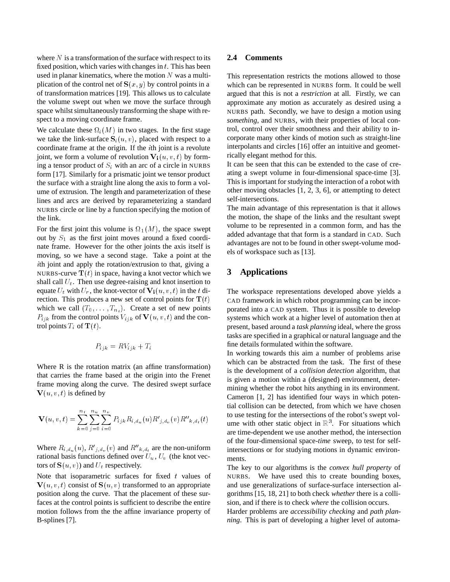where  $N$  is a transformation of the surface with respect to its fixed position, which varies with changes in  $t$ . This has been used in planar kinematics, where the motion  $N$  was a multiplication of the control net of  $S(x, y)$  by control points in a of transformation matrices [19]. This allows us to calculate the volume swept out when we move the surface through space whilst simultaneously transforming the shape with respect to a moving coordinate frame.

We calculate these  $\Omega_i(M)$  in two stages. In the first stage we take the link-surface  $S_i(u, v)$ , placed with respect to a coordinate frame at the origin. If the  $i$ th joint is a revolute joint, we form a volume of revolution  $\mathbf{V}_i(u, v, t)$  by forming a tensor product of  $S_i$  with an arc of a circle in NURBS form [17]. Similarly for a prismatic joint we tensor product the surface with a straight line along the axis to form a volume of extrusion. The length and parameterization of these lines and arcs are derived by reparameterizing a standard NURBS circle or line by a function specifying the motion of the link.

For the first joint this volume is  $\Omega_1(M)$ , the space swept out by  $S_1$  as the first joint moves around a fixed coordinate frame. However for the other joints the axis itself is moving, so we have a second stage. Take a point at the <sup>i</sup>th joint and apply the rotation/extrusion to that, giving a NURBS-curve  $\mathbf{T}(t)$  in space, having a knot vector which we shall call  $U_t$ . Then use degree-raising and knot insertion to equate  $U_t$  with  $U_r$ , the knot-vector of  $\mathbf{V_i}(u, v, t)$  in the t direction. This produces a new set of control points for  $\mathbf{T}(t)$ which we call  $(T_0, \ldots, T_{n_t})$ . Create a set of new points  $P_{ijk}$  from the control points  $V_{ijk}$  of  ${\bf V}(u, v, t)$  and the control points  $T_i$  of  $\mathbf{T}(t)$ .

$$
P_{ijk} = RV_{ijk} + T_i
$$

Where R is the rotation matrix (an affine transformation) that carries the frame based at the origin into the Frenet frame moving along the curve. The desired swept surface  ${\bf V}(u, v, t)$  is defined by

$$
\mathbf{V}(u, v, t) = \sum_{k=0}^{n_t} \sum_{j=0}^{n_u} \sum_{i=0}^{n_v} P_{ijk} R_{i, d_u}(u) R'_{j, d_v}(v) R''_{k, d_t}(t)
$$

Where  $R_{i,d_u}(u)$ ,  $R'_{j,d_u}(v)$  and  $R''_{k,d_t}$  are the non-uniform rational basis functions defined over  $U_u$ ,  $U_v$  (the knot vectors of  $S(u, v)$  and  $U_t$  respectively.

Note that isoparametric surfaces for fixed  $t$  values of  ${\bf V}(u, v, t)$  consist of  ${\bf S}(u, v)$  transformed to an appropriate position along the curve. That the placement of these surfaces at the control points is sufficient to describe the entire motion follows from the the affine invariance property of B-splines [7].

#### **2.4 Comments**

This representation restricts the motions allowed to those which can be represented in NURBS form. It could be well argued that this is not a *restriction* at all. Firstly, we can approximate any motion as accurately as desired using a NURBS path. Secondly, we have to design a motion using *something*, and NURBS, with their properties of local control, control over their smoothness and their ability to incorporate many other kinds of motion such as straight-line interpolants and circles [16] offer an intuitive and geometrically elegant method for this.

It can be seen that this can be extended to the case of creating a swept volume in four-dimensional space-time [3]. This is important for studying the interaction of a robot with other moving obstacles [1, 2, 3, 6], or attempting to detect self-intersections.

The main advantage of this representation is that it allows the motion, the shape of the links and the resultant swept volume to be represented in a common form, and has the added advantage that that form is a standard in CAD. Such advantages are not to be found in other swept-volume models of workspace such as [13].

#### **3 Applications**

The workspace representations developed above yields a CAD framework in which robot programming can be incorporated into a CAD system. Thus it is possible to develop systems which work at a higher level of automation then at present, based around a *task planning* ideal, where the gross tasks are specified in a graphical or natural language and the fine details formulated within the software.

In working towards this aim a number of problems arise which can be abstracted from the task. The first of these is the development of a *collision detection* algorithm, that is given a motion within a (designed) environment, determining whether the robot hits anything in its environment. Cameron [1, 2] has identified four ways in which potential collision can be detected, from which we have chosen to use testing for the intersections of the robot's swept volume with other static object in  $\mathbb{R}^3$ . For situations which are time-dependent we use another method, the intersection of the four-dimensional space-*time* sweep, to test for selfintersections or for studying motions in dynamic environments.

The key to our algorithms is the *convex hull property* of NURBS. We have used this to create bounding boxes, and use generalizations of surface-surface intersection algorithms [15, 18, 21] to both check *whether* there is a collision, and if there is to check *where* the collision occurs.

Harder problems are *accessibility checking* and *path planning*. This is part of developing a higher level of automa-